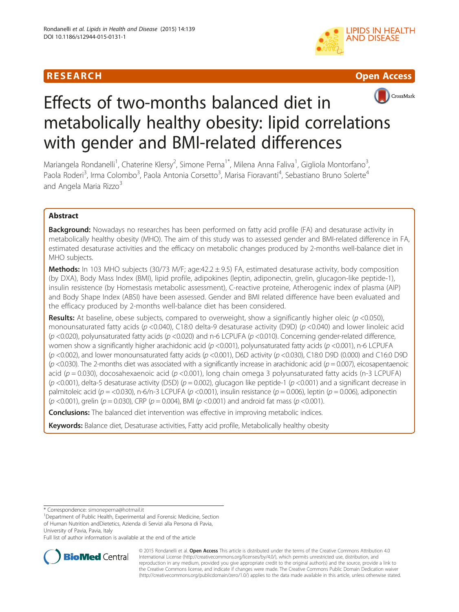# R E S EAR CH Open Access







# Effects of two-months balanced diet in metabolically healthy obesity: lipid correlations with gender and BMI-related differences

Mariangela Rondanelli<sup>1</sup>, Chaterine Klersy<sup>2</sup>, Simone Perna<sup>1\*</sup>, Milena Anna Faliva<sup>1</sup>, Gigliola Montorfano<sup>3</sup> , Paola Roderi<sup>3</sup>, Irma Colombo<sup>3</sup>, Paola Antonia Corsetto<sup>3</sup>, Marisa Fioravanti<sup>4</sup>, Sebastiano Bruno Solerte<sup>4</sup> and Angela Maria Rizzo<sup>3</sup>

# Abstract

**Background:** Nowadays no researches has been performed on fatty acid profile (FA) and desaturase activity in metabolically healthy obesity (MHO). The aim of this study was to assessed gender and BMI-related difference in FA, estimated desaturase activities and the efficacy on metabolic changes produced by 2-months well-balance diet in MHO subjects.

**Methods:** In 103 MHO subjects (30/73 M/F; age: $42.2 \pm 9.5$ ) FA, estimated desaturase activity, body composition (by DXA), Body Mass Index (BMI), lipid profile, adipokines (leptin, adiponectin, grelin, glucagon-like peptide-1), insulin resistence (by Homestasis metabolic assessment), C-reactive proteine, Atherogenic index of plasma (AIP) and Body Shape Index (ABSI) have been assessed. Gender and BMI related difference have been evaluated and the efficacy produced by 2-months well-balance diet has been considered.

**Results:** At baseline, obese subjects, compared to overweight, show a significantly higher oleic ( $p$  <0.050), monounsaturated fatty acids ( $p$  <0.040), C18:0 delta-9 desaturase activity (D9D) ( $p$  <0.040) and lower linoleic acid ( $p$  <0.020), polyunsaturated fatty acids ( $p$  <0.020) and n-6 LCPUFA ( $p$  <0.010). Concerning gender-related difference, women show a significantly higher arachidonic acid ( $p$  <0.001), polyunsaturated fatty acids ( $p$  <0.001), n-6 LCPUFA ( $p$  <0.002), and lower monounsaturated fatty acids ( $p$  <0.001), D6D activity ( $p$  <0.030), C18:0 D9D (0.000) and C16:0 D9D  $(p$  <0.030). The 2-months diet was associated with a significantly increase in arachidonic acid  $(p = 0.007)$ , eicosapentaenoic acid ( $p = 0.030$ ), docosahexaenoic acid ( $p < 0.001$ ), long chain omega 3 polyunsaturated fatty acids (n-3 LCPUFA)  $(p$  <0.001), delta-5 desaturase activity (D5D)  $(p = 0.002)$ , glucagon like peptide-1  $(p$  <0.001) and a significant decrease in palmitoleic acid ( $p = 0.030$ ), n-6/n-3 LCPUFA ( $p < 0.001$ ), insulin resistance ( $p = 0.006$ ), leptin ( $p = 0.006$ ), adiponectin  $(p \le 0.001)$ , grelin ( $p = 0.030$ ), CRP ( $p = 0.004$ ), BMI ( $p \le 0.001$ ) and android fat mass ( $p \le 0.001$ ).

**Conclusions:** The balanced diet intervention was effective in improving metabolic indices.

Keywords: Balance diet, Desaturase activities, Fatty acid profile, Metabolically healthy obesity

\* Correspondence: [simoneperna@hotmail.it](mailto:simoneperna@hotmail.it) <sup>1</sup>

Department of Public Health, Experimental and Forensic Medicine, Section of Human Nutrition andDietetics, Azienda di Servizi alla Persona di Pavia, University of Pavia, Pavia, Italy

Full list of author information is available at the end of the article



© 2015 Rondanelli et al. Open Access This article is distributed under the terms of the Creative Commons Attribution 4.0 International License [\(http://creativecommons.org/licenses/by/4.0/](http://creativecommons.org/licenses/by/4.0/)), which permits unrestricted use, distribution, and reproduction in any medium, provided you give appropriate credit to the original author(s) and the source, provide a link to the Creative Commons license, and indicate if changes were made. The Creative Commons Public Domain Dedication waiver [\(http://creativecommons.org/publicdomain/zero/1.0/](http://creativecommons.org/publicdomain/zero/1.0/)) applies to the data made available in this article, unless otherwise stated.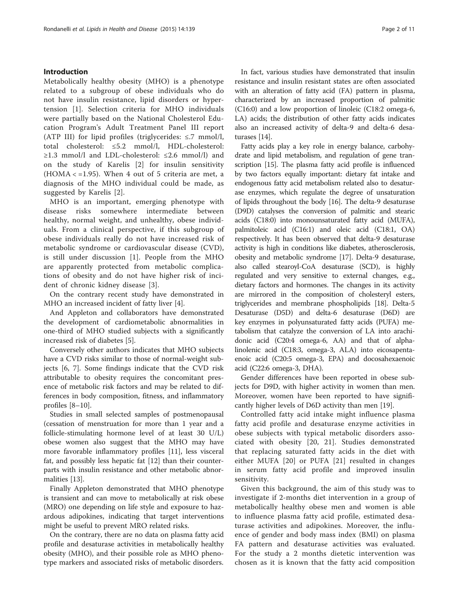# Introduction

Metabolically healthy obesity (MHO) is a phenotype related to a subgroup of obese individuals who do not have insulin resistance, lipid disorders or hypertension [\[1](#page-9-0)]. Selection criteria for MHO individuals were partially based on the National Cholesterol Education Program's Adult Treatment Panel III report (ATP III) for lipid profiles (triglycerides: ≤.7 mmol/l, total cholesterol: ≤5.2 mmol/l, HDL-cholesterol: ≥1.3 mmol/l and LDL-cholesterol: ≤2.6 mmol/l) and on the study of Karelis [[2\]](#page-9-0) for insulin sensitivity (HOMA < =1.95). When 4 out of 5 criteria are met, a diagnosis of the MHO individual could be made, as suggested by Karelis [\[2](#page-9-0)].

MHO is an important, emerging phenotype with disease risks somewhere intermediate between healthy, normal weight, and unhealthy, obese individuals. From a clinical perspective, if this subgroup of obese individuals really do not have increased risk of metabolic syndrome or cardiovascular disease (CVD), is still under discussion [[1\]](#page-9-0). People from the MHO are apparently protected from metabolic complications of obesity and do not have higher risk of incident of chronic kidney disease [[3](#page-9-0)].

On the contrary recent study have demonstrated in MHO an increased incident of fatty liver [[4\]](#page-9-0).

And Appleton and collaborators have demonstrated the development of cardiometabolic abnormalities in one-third of MHO studied subjects with a significantly increased risk of diabetes [[5\]](#page-9-0).

Conversely other authors indicates that MHO subjects have a CVD risks similar to those of normal-weight subjects [\[6, 7\]](#page-9-0). Some findings indicate that the CVD risk attributable to obesity requires the concomitant presence of metabolic risk factors and may be related to differences in body composition, fitness, and inflammatory profiles [[8](#page-9-0)–[10\]](#page-9-0).

Studies in small selected samples of postmenopausal (cessation of menstruation for more than 1 year and a follicle-stimulating hormone level of at least 30 U/L) obese women also suggest that the MHO may have more favorable inflammatory profiles [\[11](#page-10-0)], less visceral fat, and possibly less hepatic fat [\[12\]](#page-10-0) than their counterparts with insulin resistance and other metabolic abnormalities [\[13](#page-10-0)].

Finally Appleton demonstrated that MHO phenotype is transient and can move to metabolically at risk obese (MRO) one depending on life style and exposure to hazardous adipokines, indicating that target interventions might be useful to prevent MRO related risks.

On the contrary, there are no data on plasma fatty acid profile and desaturase activities in metabolically healthy obesity (MHO), and their possible role as MHO phenotype markers and associated risks of metabolic disorders.

In fact, various studies have demonstrated that insulin resistance and insulin resistant states are often associated with an alteration of fatty acid (FA) pattern in plasma, characterized by an increased proportion of palmitic (C16:0) and a low proportion of linoleic (C18:2 omega-6, LA) acids; the distribution of other fatty acids indicates also an increased activity of delta-9 and delta-6 desaturases [\[14](#page-10-0)].

Fatty acids play a key role in energy balance, carbohydrate and lipid metabolism, and regulation of gene transcription [\[15\]](#page-10-0). The plasma fatty acid profile is influenced by two factors equally important: dietary fat intake and endogenous fatty acid metabolism related also to desaturase enzymes, which regulate the degree of unsaturation of lipids throughout the body [[16](#page-10-0)]. The delta-9 desaturase (D9D) catalyses the conversion of palmitic and stearic acids (C18:0) into monounsaturated fatty acid (MUFA), palmitoleic acid (C16:1) and oleic acid (C18:1, OA) respectively. It has been observed that delta-9 desaturase activity is high in conditions like diabetes, atherosclerosis, obesity and metabolic syndrome [[17](#page-10-0)]. Delta-9 desaturase, also called stearoyl-CoA desaturase (SCD), is highly regulated and very sensitive to external changes, e.g., dietary factors and hormones. The changes in its activity are mirrored in the composition of cholesteryl esters, triglycerides and membrane phospholipids [\[18\]](#page-10-0). Delta-5 Desaturase (D5D) and delta-6 desaturase (D6D) are key enzymes in polyunsaturated fatty acids (PUFA) metabolism that catalyze the conversion of LA into arachidonic acid (C20:4 omega-6, AA) and that of alphalinolenic acid (C18:3, omega-3, ALA) into eicosapentaenoic acid (C20:5 omega-3, EPA) and docosahexaenoic acid (C22:6 omega-3, DHA).

Gender differences have been reported in obese subjects for D9D, with higher activity in women than men. Moreover, women have been reported to have significantly higher levels of D6D activity than men [[19](#page-10-0)].

Controlled fatty acid intake might influence plasma fatty acid profile and desaturase enzyme activities in obese subjects with typical metabolic disorders associated with obesity [[20, 21](#page-10-0)]. Studies demonstrated that replacing saturated fatty acids in the diet with either MUFA [\[20\]](#page-10-0) or PUFA [[21\]](#page-10-0) resulted in changes in serum fatty acid profile and improved insulin sensitivity.

Given this background, the aim of this study was to investigate if 2-months diet intervention in a group of metabolically healthy obese men and women is able to influence plasma fatty acid profile, estimated desaturase activities and adipokines. Moreover, the influence of gender and body mass index (BMI) on plasma FA pattern and desaturase activities was evaluated. For the study a 2 months dietetic intervention was chosen as it is known that the fatty acid composition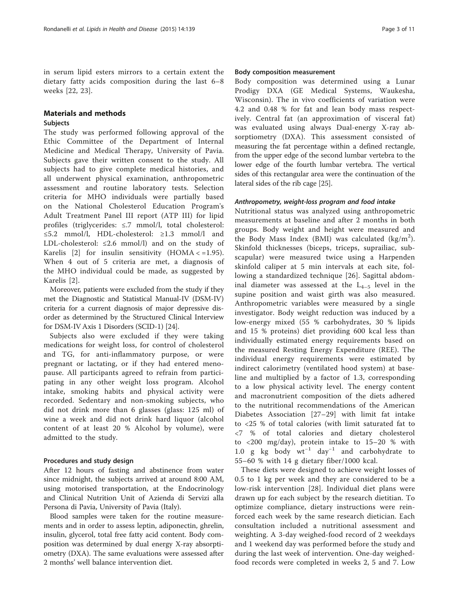in serum lipid esters mirrors to a certain extent the dietary fatty acids composition during the last 6–8 weeks [[22, 23\]](#page-10-0).

# Materials and methods

# **Subjects**

The study was performed following approval of the Ethic Committee of the Department of Internal Medicine and Medical Therapy, University of Pavia. Subjects gave their written consent to the study. All subjects had to give complete medical histories, and all underwent physical examination, anthropometric assessment and routine laboratory tests. Selection criteria for MHO individuals were partially based on the National Cholesterol Education Program's Adult Treatment Panel III report (ATP III) for lipid profiles (triglycerides: ≤.7 mmol/l, total cholesterol: ≤5.2 mmol/l, HDL-cholesterol: ≥1.3 mmol/l and LDL-cholesterol: ≤2.6 mmol/l) and on the study of Karelis [\[2](#page-9-0)] for insulin sensitivity  $(HOMA < = 1.95)$ . When 4 out of 5 criteria are met, a diagnosis of the MHO individual could be made, as suggested by Karelis [[2\]](#page-9-0).

Moreover, patients were excluded from the study if they met the Diagnostic and Statistical Manual-IV (DSM-IV) criteria for a current diagnosis of major depressive disorder as determined by the Structured Clinical Interview for DSM-IV Axis 1 Disorders (SCID-1) [[24\]](#page-10-0).

Subjects also were excluded if they were taking medications for weight loss, for control of cholesterol and TG, for anti-inflammatory purpose, or were pregnant or lactating, or if they had entered menopause. All participants agreed to refrain from participating in any other weight loss program. Alcohol intake, smoking habits and physical activity were recorded. Sedentary and non-smoking subjects, who did not drink more than 6 glasses (glass: 125 ml) of wine a week and did not drink hard liquor (alcohol content of at least 20 % Alcohol by volume), were admitted to the study.

## Procedures and study design

After 12 hours of fasting and abstinence from water since midnight, the subjects arrived at around 8:00 AM, using motorised transportation, at the Endocrinology and Clinical Nutrition Unit of Azienda di Servizi alla Persona di Pavia, University of Pavia (Italy).

Blood samples were taken for the routine measurements and in order to assess leptin, adiponectin, ghrelin, insulin, glycerol, total free fatty acid content. Body composition was determined by dual energy X-ray absorptiometry (DXA). The same evaluations were assessed after 2 months' well balance intervention diet.

## Body composition measurement

Body composition was determined using a Lunar Prodigy DXA (GE Medical Systems, Waukesha, Wisconsin). The in vivo coefficients of variation were 4.2 and 0.48 % for fat and lean body mass respectively. Central fat (an approximation of visceral fat) was evaluated using always Dual-energy X-ray absorptiometry (DXA). This assessment consisted of measuring the fat percentage within a defined rectangle, from the upper edge of the second lumbar vertebra to the lower edge of the fourth lumbar vertebra. The vertical sides of this rectangular area were the continuation of the lateral sides of the rib cage [[25](#page-10-0)].

#### Anthropometry, weight-loss program and food intake

Nutritional status was analyzed using anthropometric measurements at baseline and after 2 months in both groups. Body weight and height were measured and the Body Mass Index (BMI) was calculated  $(kg/m^2)$ . Skinfold thicknesses (biceps, triceps, suprailiac, subscapular) were measured twice using a Harpenden skinfold caliper at 5 min intervals at each site, following a standardized technique [[26\]](#page-10-0). Sagittal abdominal diameter was assessed at the  $L_{4-5}$  level in the supine position and waist girth was also measured. Anthropometric variables were measured by a single investigator. Body weight reduction was induced by a low-energy mixed (55 % carbohydrates, 30 % lipids and 15 % proteins) diet providing 600 kcal less than individually estimated energy requirements based on the measured Resting Energy Expenditure (REE). The individual energy requirements were estimated by indirect calorimetry (ventilated hood system) at baseline and multiplied by a factor of 1.3, corresponding to a low physical activity level. The energy content and macronutrient composition of the diets adhered to the nutritional recommendations of the American Diabetes Association [[27](#page-10-0)–[29](#page-10-0)] with limit fat intake to <25 % of total calories (with limit saturated fat to <7 % of total calories and dietary cholesterol to <200 mg/day), protein intake to 15–20 % with 1.0 g kg body  $wt^{-1}$  day<sup>-1</sup> and carbohydrate to 55–60 % with 14 g dietary fiber/1000 kcal.

These diets were designed to achieve weight losses of 0.5 to 1 kg per week and they are considered to be a low-risk intervention [[28\]](#page-10-0). Individual diet plans were drawn up for each subject by the research dietitian. To optimize compliance, dietary instructions were reinforced each week by the same research dietician. Each consultation included a nutritional assessment and weighting. A 3-day weighed-food record of 2 weekdays and 1 weekend day was performed before the study and during the last week of intervention. One-day weighedfood records were completed in weeks 2, 5 and 7. Low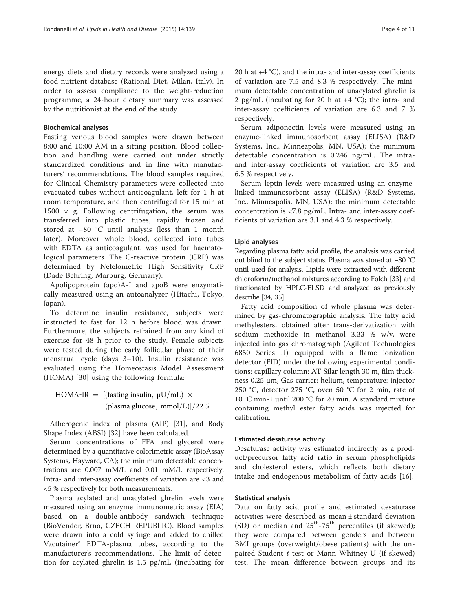energy diets and dietary records were analyzed using a food-nutrient database (Rational Diet, Milan, Italy). In order to assess compliance to the weight-reduction programme, a 24-hour dietary summary was assessed by the nutritionist at the end of the study.

## Biochemical analyses

Fasting venous blood samples were drawn between 8:00 and 10:00 AM in a sitting position. Blood collection and handling were carried out under strictly standardized conditions and in line with manufacturers' recommendations. The blood samples required for Clinical Chemistry parameters were collected into evacuated tubes without anticoagulant, left for 1 h at room temperature, and then centrifuged for 15 min at 1500  $\times$  g. Following centrifugation, the serum was transferred into plastic tubes, rapidly frozen and stored at −80 °C until analysis (less than 1 month later). Moreover whole blood, collected into tubes with EDTA as anticoagulant, was used for haematological parameters. The C-reactive protein (CRP) was determined by Nefelometric High Sensitivity CRP (Dade Behring, Marburg, Germany).

Apolipoprotein (apo)A-I and apoB were enzymatically measured using an autoanalyzer (Hitachi, Tokyo, Japan).

To determine insulin resistance, subjects were instructed to fast for 12 h before blood was drawn. Furthermore, the subjects refrained from any kind of exercise for 48 h prior to the study. Female subjects were tested during the early follicular phase of their menstrual cycle (days 3–10). Insulin resistance was evaluated using the Homeostasis Model Assessment (HOMA) [[30](#page-10-0)] using the following formula:

HOMA-IR = [(fasting insulin,  $\mu U/mL$ )  $\times$ (plasma glucose, mmol $/L$ ) $/22.5$ 

Atherogenic index of plasma (AIP) [\[31\]](#page-10-0), and Body Shape Index (ABSI) [[32](#page-10-0)] have been calculated.

Serum concentrations of FFA and glycerol were determined by a quantitative colorimetric assay (BioAssay Systems, Hayward, CA); the minimum detectable concentrations are 0.007 mM/L and 0.01 mM/L respectively. Intra- and inter-assay coefficients of variation are <3 and <5 % respectively for both measurements.

Plasma acylated and unacylated ghrelin levels were measured using an enzyme immunometric assay (EIA) based on a double-antibody sandwich technique (BioVendor, Brno, CZECH REPUBLIC). Blood samples were drawn into a cold syringe and added to chilled Vacutainer® EDTA-plasma tubes, according to the manufacturer's recommendations. The limit of detection for acylated ghrelin is 1.5 pg/mL (incubating for 20 h at  $+4$  °C), and the intra- and inter-assay coefficients of variation are 7.5 and 8.3 % respectively. The minimum detectable concentration of unacylated ghrelin is 2 pg/mL (incubating for 20 h at  $+4$  °C); the intra- and inter-assay coefficients of variation are 6.3 and 7 % respectively.

Serum adiponectin levels were measured using an enzyme-linked immunosorbent assay (ELISA) (R&D Systems, Inc., Minneapolis, MN, USA); the minimum detectable concentration is 0.246 ng/mL. The intraand inter-assay coefficients of variation are 3.5 and 6.5 % respectively.

Serum leptin levels were measured using an enzymelinked immunosorbent assay (ELISA) (R&D Systems, Inc., Minneapolis, MN, USA); the minimum detectable concentration is <7.8 pg/mL. Intra- and inter-assay coefficients of variation are 3.1 and 4.3 % respectively.

# Lipid analyses

Regarding plasma fatty acid profile, the analysis was carried out blind to the subject status. Plasma was stored at −80 °C until used for analysis. Lipids were extracted with different chloroform/methanol mixtures according to Folch [[33](#page-10-0)] and fractionated by HPLC-ELSD and analyzed as previously describe [\[34, 35\]](#page-10-0).

Fatty acid composition of whole plasma was determined by gas-chromatographic analysis. The fatty acid methylesters, obtained after trans-derivatization with sodium methoxide in methanol 3.33 % w/v, were injected into gas chromatograph (Agilent Technologies 6850 Series II) equipped with a flame ionization detector (FID) under the following experimental conditions: capillary column: AT Silar length 30 m, film thickness 0.25 μm, Gas carrier: helium, temperature: injector 250 °C, detector 275 °C, oven 50 °C for 2 min, rate of 10 °C min-1 until 200 °C for 20 min. A standard mixture containing methyl ester fatty acids was injected for calibration.

# Estimated desaturase activity

Desaturase activity was estimated indirectly as a product/precursor fatty acid ratio in serum phospholipids and cholesterol esters, which reflects both dietary intake and endogenous metabolism of fatty acids [[16\]](#page-10-0).

# Statistical analysis

Data on fatty acid profile and estimated desaturase activities were described as mean ± standard deviation (SD) or median and  $25^{\text{th}}$ -75<sup>th</sup> percentiles (if skewed); they were compared between genders and between BMI groups (overweight/obese patients) with the unpaired Student  $t$  test or Mann Whitney U (if skewed) test. The mean difference between groups and its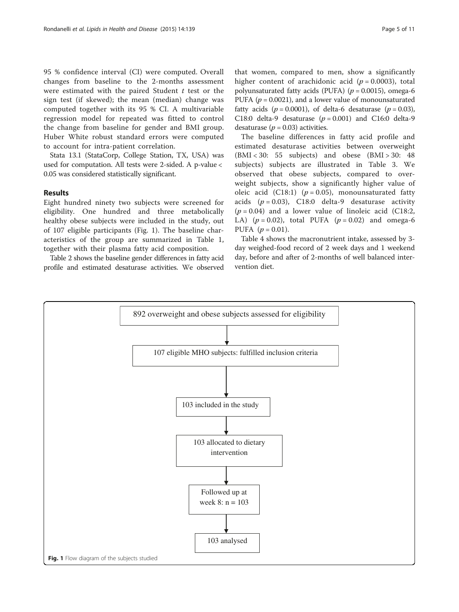95 % confidence interval (CI) were computed. Overall changes from baseline to the 2-months assessment were estimated with the paired Student  $t$  test or the sign test (if skewed); the mean (median) change was computed together with its 95 % CI. A multivariable regression model for repeated was fitted to control the change from baseline for gender and BMI group. Huber White robust standard errors were computed to account for intra-patient correlation.

Stata 13.1 (StataCorp, College Station, TX, USA) was used for computation. All tests were 2-sided. A p-value < 0.05 was considered statistically significant.

# Results

Eight hundred ninety two subjects were screened for eligibility. One hundred and three metabolically healthy obese subjects were included in the study, out of 107 eligible participants (Fig. 1). The baseline characteristics of the group are summarized in Table [1](#page-5-0), together with their plasma fatty acid composition.

Table [2](#page-6-0) shows the baseline gender differences in fatty acid profile and estimated desaturase activities. We observed that women, compared to men, show a significantly

higher content of arachidonic acid ( $p = 0.0003$ ), total polyunsaturated fatty acids (PUFA) ( $p = 0.0015$ ), omega-6 PUFA ( $p = 0.0021$ ), and a lower value of monounsaturated fatty acids ( $p = 0.0001$ ), of delta-6 desaturase ( $p = 0.03$ ), C18:0 delta-9 desaturase  $(p = 0.001)$  and C16:0 delta-9 desaturase ( $p = 0.03$ ) activities.

The baseline differences in fatty acid profile and estimated desaturase activities between overweight (BMI < 30: 55 subjects) and obese (BMI > 30: 48 subjects) subjects are illustrated in Table [3.](#page-7-0) We observed that obese subjects, compared to overweight subjects, show a significantly higher value of oleic acid (C18:1) ( $p = 0.05$ ), monounsaturated fatty acids  $(p = 0.03)$ , C18:0 delta-9 desaturase activity  $(p = 0.04)$  and a lower value of linoleic acid (C18:2, LA)  $(p = 0.02)$ , total PUFA  $(p = 0.02)$  and omega-6 PUFA  $(p = 0.01)$ .

Table [4](#page-7-0) shows the macronutrient intake, assessed by 3 day weighed-food record of 2 week days and 1 weekend day, before and after of 2-months of well balanced intervention diet.

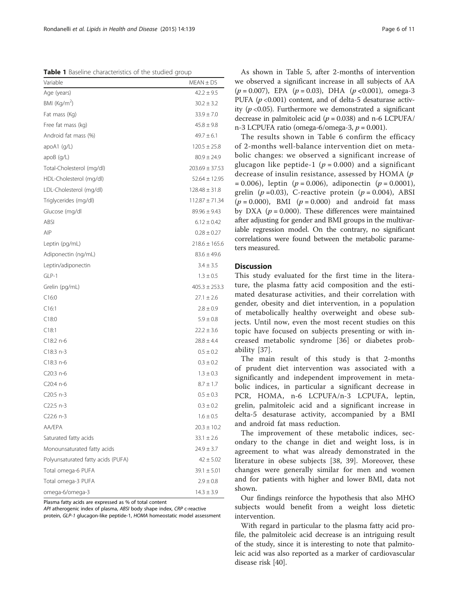<span id="page-5-0"></span>Table 1 Baseline characteristics of the studied group

| Variable                           | $MEAN \pm DS$      |
|------------------------------------|--------------------|
| Age (years)                        | $42.2 \pm 9.5$     |
| BMI (Kg/m <sup>2</sup> )           | $30.2 \pm 3.2$     |
| Fat mass (Kg)                      | $33.9 \pm 7.0$     |
| Free fat mass (kg)                 | $45.8 \pm 9.8$     |
| Android fat mass (%)               | $49.7 \pm 6.1$     |
| apoA1 (g/L)                        | $120.5 \pm 25.8$   |
| apoB(g/L)                          | $80.9 \pm 24.9$    |
| Total-Cholesterol (mg/dl)          | $203.69 \pm 37.53$ |
| HDL-Cholesterol (mg/dl)            | $52.64 \pm 12.95$  |
| LDL-Cholesterol (mg/dl)            | $128.48 \pm 31.8$  |
| Triglycerides (mg/dl)              | $112.87 \pm 71.34$ |
| Glucose (mg/dl                     | $89.96 \pm 9.43$   |
| ABSI                               | $6.12 \pm 0.42$    |
| AIP                                | $0.28 \pm 0.27$    |
| Leptin (pg/mL)                     | $218.6 \pm 165.6$  |
| Adiponectin (ng/mL)                | $83.6 \pm 49.6$    |
| Leptin/adiponectin                 | $3.4 \pm 3.5$      |
| GLP-1                              | $1.3 \pm 0.5$      |
| Grelin (pg/mL)                     | $405.3 \pm 253.3$  |
| C16:0                              | $27.1 \pm 2.6$     |
| C16:1                              | $2.8 \pm 0.9$      |
| C18:0                              | $5.9 \pm 0.8$      |
| C18:1                              | $22.2 \pm 3.6$     |
| C18:2 n-6                          | $28.8 \pm 4.4$     |
| $C18:3 n-3$                        | $0.5 \pm 0.2$      |
| $C18:3n-6$                         | $0.3 \pm 0.2$      |
| C20:3 n-6                          | $1.3 \pm 0.3$      |
| C20:4 n-6                          | $8.7 \pm 1.7$      |
| $C20:5 n-3$                        | $0.5 \pm 0.3$      |
| $C22:5 n-3$                        | $0.3 \pm 0.2$      |
| C22:6 n-3                          | $1.6 \pm 0.5$      |
| AA/EPA                             | $20.3 \pm 10.2$    |
| Saturated fatty acids              | $33.1 \pm 2.6$     |
| Monounsaturated fatty acids        | $24.9 \pm 3.7$     |
| Polyunsaturated fatty acids (PUFA) | $42 \pm 5.02$      |
| Total omega-6 PUFA                 | $39.1 \pm 5.01$    |
| Total omega-3 PUFA                 | $2.9 \pm 0.8$      |
| omega-6/omega-3                    | $14.3 \pm 3.9$     |

Plasma fatty acids are expressed as % of total content

API atherogenic index of plasma, ABSI body shape index, CRP c-reactive protein, GLP-1 glucagon-like peptide-1, HOMA homeostatic model assessment

As shown in Table [5,](#page-8-0) after 2-months of intervention we observed a significant increase in all subjects of AA  $(p = 0.007)$ , EPA  $(p = 0.03)$ , DHA  $(p < 0.001)$ , omega-3 PUFA ( $p$  <0.001) content, and of delta-5 desaturase activity ( $p$  <0.05). Furthermore we demonstrated a significant decrease in palmitoleic acid ( $p = 0.038$ ) and n-6 LCPUFA/ n-3 LCPUFA ratio (omega-6/omega-3,  $p = 0.001$ ).

The results shown in Table [6](#page-9-0) confirm the efficacy of 2-months well-balance intervention diet on metabolic changes: we observed a significant increase of glucagon like peptide-1 ( $p = 0.000$ ) and a significant decrease of insulin resistance, assessed by HOMA (p  $= 0.006$ ), leptin (p = 0.006), adiponectin (p = 0.0001), grelin ( $p = 0.03$ ), C-reactive protein ( $p = 0.004$ ), ABSI  $(p = 0.000)$ , BMI  $(p = 0.000)$  and android fat mass by DXA ( $p = 0.000$ ). These differences were maintained after adjusting for gender and BMI groups in the multivariable regression model. On the contrary, no significant correlations were found between the metabolic parameters measured.

# Discussion

This study evaluated for the first time in the literature, the plasma fatty acid composition and the estimated desaturase activities, and their correlation with gender, obesity and diet intervention, in a population of metabolically healthy overweight and obese subjects. Until now, even the most recent studies on this topic have focused on subjects presenting or with increased metabolic syndrome [\[36](#page-10-0)] or diabetes probability [[37\]](#page-10-0).

The main result of this study is that 2-months of prudent diet intervention was associated with a significantly and independent improvement in metabolic indices, in particular a significant decrease in PCR, HOMA, n-6 LCPUFA/n-3 LCPUFA, leptin, grelin, palmitoleic acid and a significant increase in delta-5 desaturase activity, accompanied by a BMI and android fat mass reduction.

The improvement of these metabolic indices, secondary to the change in diet and weight loss, is in agreement to what was already demonstrated in the literature in obese subjects [[38, 39](#page-10-0)]. Moreover, these changes were generally similar for men and women and for patients with higher and lower BMI, data not shown.

Our findings reinforce the hypothesis that also MHO subjects would benefit from a weight loss dietetic intervention.

With regard in particular to the plasma fatty acid profile, the palmitoleic acid decrease is an intriguing result of the study, since it is interesting to note that palmitoleic acid was also reported as a marker of cardiovascular disease risk [\[40](#page-10-0)].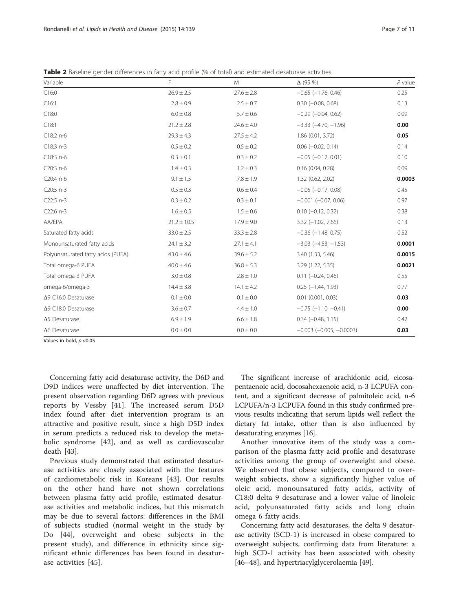<span id="page-6-0"></span>

|  |  |  |  | Table 2 Baseline gender differences in fatty acid profile (% of total) and estimated desaturase activities |  |
|--|--|--|--|------------------------------------------------------------------------------------------------------------|--|
|--|--|--|--|------------------------------------------------------------------------------------------------------------|--|

| Variable                           | F               | M              | $\Delta$ (95 %)               | $P$ value |
|------------------------------------|-----------------|----------------|-------------------------------|-----------|
| C16:0                              | $26.9 \pm 2.5$  | $27.6 \pm 2.8$ | $-0.65$ $(-1.76, 0.46)$       | 0.25      |
| C16:1                              | $2.8 \pm 0.9$   | $2.5 \pm 0.7$  | $0.30$ $(-0.08, 0.68)$        | 0.13      |
| C18:0                              | $6.0 \pm 0.8$   | $5.7 \pm 0.6$  | $-0.29$ $(-0.04, 0.62)$       | 0.09      |
| C18:1                              | $21.2 \pm 2.8$  | $24.6 \pm 4.0$ | $-3.33$ $(-4.70, -1.96)$      | 0.00      |
| C18:2 n-6                          | $29.3 \pm 4.3$  | $27.5 \pm 4.2$ | 1.86 (0.01, 3.72)             | 0.05      |
| $C18:3 n-3$                        | $0.5 \pm 0.2$   | $0.5 \pm 0.2$  | $0.06$ ( $-0.02$ , 0.14)      | 0.14      |
| C18:3 n-6                          | $0.3 \pm 0.1$   | $0.3 \pm 0.2$  | $-0.05$ $(-0.12, 0.01)$       | 0.10      |
| C20:3 n-6                          | $1.4 \pm 0.3$   | $1.2 \pm 0.3$  | 0.16(0.04, 0.28)              | 0.09      |
| C20:4 n-6                          | $9.1 \pm 1.5$   | $7.8 \pm 1.9$  | 1.32 (0.62, 2.02)             | 0.0003    |
| C20:5 n-3                          | $0.5 \pm 0.3$   | $0.6 \pm 0.4$  | $-0.05$ $(-0.17, 0.08)$       | 0.45      |
| C22:5 n-3                          | $0.3 \pm 0.2$   | $0.3 \pm 0.1$  | $-0.001$ $(-0.07, 0.06)$      | 0.97      |
| C22:6 n-3                          | $1.6 \pm 0.5$   | $1.5 \pm 0.6$  | $0.10$ ( $-0.12$ , $0.32$ )   | 0.38      |
| AA/EPA                             | $21.2 \pm 10.5$ | $17.9 \pm 9.0$ | $3.32 (-1.02, 7.66)$          | 0.13      |
| Saturated fatty acids              | $33.0 \pm 2.5$  | $33.3 \pm 2.8$ | $-0.36$ $(-1.48, 0.75)$       | 0.52      |
| Monounsaturated fatty acids        | $24.1 \pm 3.2$  | $27.1 \pm 4.1$ | $-3.03$ $(-4.53, -1.53)$      | 0.0001    |
| Polyunsaturated fatty acids (PUFA) | $43.0 \pm 4.6$  | $39.6 \pm 5.2$ | 3.40 (1.33, 5.46)             | 0.0015    |
| Total omega-6 PUFA                 | $40.0 \pm 4.6$  | $36.8 \pm 5.3$ | 3.29 (1.22, 5.35)             | 0.0021    |
| Total omega-3 PUFA                 | $3.0 \pm 0.8$   | $2.8 \pm 1.0$  | $0.11 (-0.24, 0.46)$          | 0.55      |
| omega-6/omega-3                    | $14.4 \pm 3.8$  | $14.1 \pm 4.2$ | $0.25$ ( $-1.44$ , 1.93)      | 0.77      |
| $\Delta$ 9 C16:0 Desaturase        | $0.1 \pm 0.0$   | $0.1 \pm 0.0$  | $0.01$ $(0.001, 0.03)$        | 0.03      |
| $\Delta$ 9 C18:0 Desaturase        | $3.6 \pm 0.7$   | $4.4 \pm 1.0$  | $-0.75$ ( $-1.10$ , $-0.41$ ) | 0.00      |
| $\Delta$ 5 Desaturase              | $6.9 \pm 1.9$   | $6.6 \pm 1.8$  | $0.34 (-0.48, 1.15)$          | 0.42      |
| $\Delta 6$ Desaturase              | $0.0 \pm 0.0$   | $0.0 \pm 0.0$  | $-0.003$ $(-0.005, -0.0003)$  | 0.03      |

Values in bold,  $p < 0.05$ 

Concerning fatty acid desaturase activity, the D6D and D9D indices were unaffected by diet intervention. The present observation regarding D6D agrees with previous reports by Vessby [[41\]](#page-10-0). The increased serum D5D index found after diet intervention program is an attractive and positive result, since a high D5D index in serum predicts a reduced risk to develop the metabolic syndrome [[42\]](#page-10-0), and as well as cardiovascular death [[43\]](#page-10-0).

Previous study demonstrated that estimated desaturase activities are closely associated with the features of cardiometabolic risk in Koreans [[43\]](#page-10-0). Our results on the other hand have not shown correlations between plasma fatty acid profile, estimated desaturase activities and metabolic indices, but this mismatch may be due to several factors: differences in the BMI of subjects studied (normal weight in the study by Do [[44\]](#page-10-0), overweight and obese subjects in the present study), and difference in ethnicity since significant ethnic differences has been found in desaturase activities [\[45](#page-10-0)].

The significant increase of arachidonic acid, eicosapentaenoic acid, docosahexaenoic acid, n-3 LCPUFA content, and a significant decrease of palmitoleic acid, n-6 LCPUFA/n-3 LCPUFA found in this study confirmed previous results indicating that serum lipids well reflect the dietary fat intake, other than is also influenced by desaturating enzymes [\[16](#page-10-0)].

Another innovative item of the study was a comparison of the plasma fatty acid profile and desaturase activities among the group of overweight and obese. We observed that obese subjects, compared to overweight subjects, show a significantly higher value of oleic acid, monounsatured fatty acids, activity of C18:0 delta 9 desaturase and a lower value of linoleic acid, polyunsaturated fatty acids and long chain omega 6 fatty acids.

Concerning fatty acid desaturases, the delta 9 desaturase activity (SCD-1) is increased in obese compared to overweight subjects, confirming data from literature: a high SCD-1 activity has been associated with obesity [[46](#page-10-0)–[48](#page-10-0)], and hypertriacylglycerolaemia [[49\]](#page-10-0).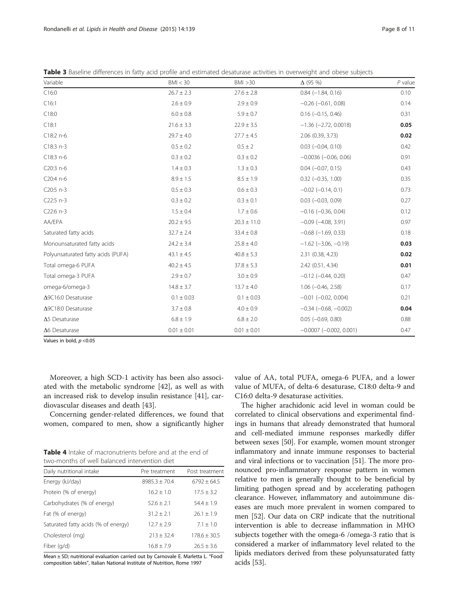| Variable                           | BMI < 30        | BMI > 30        | $\Delta$ (95 %)                | $P$ value |
|------------------------------------|-----------------|-----------------|--------------------------------|-----------|
| C16:0                              | $26.7 \pm 2.3$  | $27.6 \pm 2.8$  | $0.84 (-1.84, 0.16)$           | 0.10      |
| C16:1                              | $2.6 \pm 0.9$   | $2.9 \pm 0.9$   | $-0.26$ $(-0.61, 0.08)$        | 0.14      |
| C18:0                              | $6.0 \pm 0.8$   | $5.9 \pm 0.7$   | $0.16$ ( $-0.15$ , 0.46)       | 0.31      |
| C18:1                              | $21.6 \pm 3.3$  | $22.9 \pm 3.5$  | $-1.36$ ( $-2.72$ , 0.0018)    | 0.05      |
| C18:2 n-6                          | $29.7 \pm 4.0$  | $27.7 \pm 4.5$  | 2.06 (0.39, 3.73)              | 0.02      |
| $C18:3 n-3$                        | $0.5 \pm 0.2$   | $0.5\pm2$       | $0.03$ $(-0.04, 0.10)$         | 0.42      |
| C18:3 n-6                          | $0.3 \pm 0.2$   | $0.3 \pm 0.2$   | $-0.0036$ $(-0.06, 0.06)$      | 0.91      |
| C20:3 n-6                          | $1.4 \pm 0.3$   | $1.3 \pm 0.3$   | $0.04 (-0.07, 0.15)$           | 0.43      |
| C20:4 n-6                          | $8.9 \pm 1.5$   | $8.5 \pm 1.9$   | $0.32$ ( $-0.35$ , 1.00)       | 0.35      |
| C20:5 n-3                          | $0.5 \pm 0.3$   | $0.6 \pm 0.3$   | $-0.02$ $(-0.14, 0.1)$         | 0.73      |
| $C22:5 n-3$                        | $0.3 \pm 0.2$   | $0.3 \pm 0.1$   | $0.03$ ( $-0.03$ , $0.09$ )    | 0.27      |
| $C22:6 n-3$                        | $1.5 \pm 0.4$   | $1.7 \pm 0.6$   | $-0.16$ $(-0.36, 0.04)$        | 0.12      |
| AA/EPA                             | $20.2 \pm 9.5$  | $20.3 \pm 11.0$ | $-0.09$ $(-4.08, 3.91)$        | 0.97      |
| Saturated fatty acids              | $32.7 \pm 2.4$  | $33.4 \pm 0.8$  | $-0.68$ ( $-1.69$ , 0.33)      | 0.18      |
| Monounsaturated fatty acids        | $24.2 \pm 3.4$  | $25.8 \pm 4.0$  | $-1.62$ ( $-3.06$ , $-0.19$ )  | 0.03      |
| Polyunsaturated fatty acids (PUFA) | $43.1 \pm 4.5$  | $40.8 \pm 5.3$  | 2.31 (0.38, 4.23)              | 0.02      |
| Total omega-6 PUFA                 | $40.2 \pm 4.5$  | $37.8 \pm 5.3$  | 2.42 (0.51, 4.34)              | 0.01      |
| Total omega-3 PUFA                 | $2.9 \pm 0.7$   | $3.0 \pm 0.9$   | $-0.12$ $(-0.44, 0.20)$        | 0.47      |
| omega-6/omega-3                    | $14.8 \pm 3.7$  | $13.7 \pm 4.0$  | $1.06$ ( $-0.46$ , $2.58$ )    | 0.17      |
| ∆9C16:0 Desaturase                 | $0.1 \pm 0.03$  | $0.1 \pm 0.03$  | $-0.01$ $(-0.02, 0.004)$       | 0.21      |
| ∆9C18:0 Desaturase                 | $3.7 \pm 0.8$   | $4.0 \pm 0.9$   | $-0.34$ ( $-0.68$ , $-0.002$ ) | 0.04      |
| $\Delta$ 5 Desaturase              | $6.8 \pm 1.9$   | $6.8 \pm 2.0$   | $0.05$ ( $-0.69$ , $0.80$ )    | 0.88      |
| $\Delta 6$ Desaturase              | $0.01 \pm 0.01$ | $0.01 \pm 0.01$ | $-0.0007$ $(-0.002, 0.001)$    | 0.47      |

<span id="page-7-0"></span>Table 3 Baseline differences in fatty acid profile and estimated desaturase activities in overweight and obese subjects

Values in bold,  $p < 0.05$ 

Moreover, a high SCD-1 activity has been also associated with the metabolic syndrome [\[42](#page-10-0)], as well as with an increased risk to develop insulin resistance [[41\]](#page-10-0), cardiovascular diseases and death [[43](#page-10-0)].

Concerning gender-related differences, we found that women, compared to men, show a significantly higher

Table 4 Intake of macronutrients before and at the end of two-months of well balanced intervention diet

| Daily nutritional intake            | Pre treatment   | Post treatment   |
|-------------------------------------|-----------------|------------------|
| Energy (kJ/day)                     | $8985.3 + 70.4$ | $6792 \pm 64.5$  |
| Protein (% of energy)               | $16.2 + 1.0$    | $17.5 \pm 3.2$   |
| Carbohydrates (% of energy)         | $52.6 + 2.1$    | $54.4 \pm 1.9$   |
| Fat (% of energy)                   | $31.2 + 2.1$    | $26.1 + 1.9$     |
| Saturated fatty acids (% of energy) | $12.7 + 2.9$    | $7.1 + 1.0$      |
| Cholesterol (mg)                    | $713 + 324$     | $178.6 \pm 30.5$ |
| Fiber (g/d)                         | $16.8 + 7.9$    | $26.5 \pm 3.6$   |

Mean ± SD; nutritional evaluation carried out by Carnovale E. Marletta L. "Food composition tables", Italian National Institute of Nutrition, Rome 1997

value of AA, total PUFA, omega-6 PUFA, and a lower value of MUFA, of delta-6 desaturase, C18:0 delta-9 and C16:0 delta-9 desaturase activities.

The higher arachidonic acid level in woman could be correlated to clinical observations and experimental findings in humans that already demonstrated that humoral and cell-mediated immune responses markedly differ between sexes [\[50\]](#page-10-0). For example, women mount stronger inflammatory and innate immune responses to bacterial and viral infections or to vaccination [\[51\]](#page-10-0). The more pronounced pro-inflammatory response pattern in women relative to men is generally thought to be beneficial by limiting pathogen spread and by accelerating pathogen clearance. However, inflammatory and autoimmune diseases are much more prevalent in women compared to men [\[52](#page-10-0)]. Our data on CRP indicate that the nutritional intervention is able to decrease inflammation in MHO subjects together with the omega-6 /omega-3 ratio that is considered a marker of inflammatory level related to the lipids mediators derived from these polyunsaturated fatty acids [\[53\]](#page-10-0).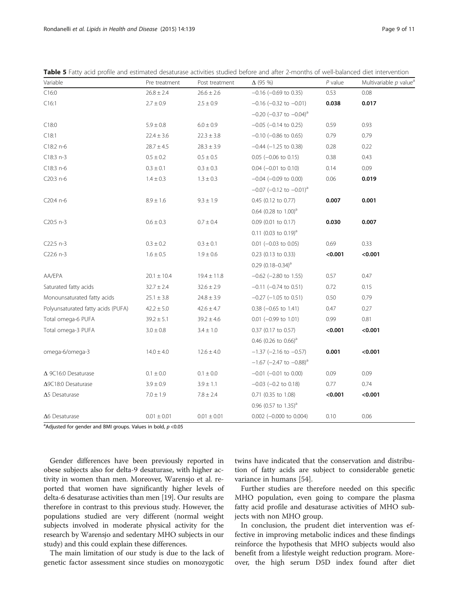| Variable                           | Pre treatment   | Post treatment  | $\Delta$ (95 %)                          | $P$ value | Multivariable $p$ value <sup>a</sup> |
|------------------------------------|-----------------|-----------------|------------------------------------------|-----------|--------------------------------------|
| C16:0                              | $26.8 \pm 2.4$  | $26.6 \pm 2.6$  | $-0.16$ ( $-0.69$ to 0.35)               | 0.53      | 0.08                                 |
| C16:1                              | $2.7 \pm 0.9$   | $2.5 \pm 0.9$   | $-0.16$ ( $-0.32$ to $-0.01$ )           | 0.038     | 0.017                                |
|                                    |                 |                 | $-0.20$ (-0.37 to $-0.04$ ) <sup>a</sup> |           |                                      |
| C18:0                              | $5.9 \pm 0.8$   | $6.0 \pm 0.9$   | $-0.05$ ( $-0.14$ to 0.25)               | 0.59      | 0.93                                 |
| C18:1                              | $22.4 \pm 3.6$  | $22.3 \pm 3.8$  | $-0.10$ ( $-0.86$ to 0.65)               | 0.79      | 0.79                                 |
| C18:2 n-6                          | $28.7 \pm 4.5$  | $28.3 \pm 3.9$  | $-0.44$ ( $-1.25$ to 0.38)               | 0.28      | 0.22                                 |
| $C18:3 n-3$                        | $0.5 \pm 0.2$   | $0.5 \pm 0.5$   | $0.05$ (-0.06 to 0.15)                   | 0.38      | 0.43                                 |
| C18:3 n-6                          | $0.3 \pm 0.1$   | $0.3 \pm 0.3$   | $0.04$ (-0.01 to 0.10)                   | 0.14      | 0.09                                 |
| C20:3 n-6                          | $1.4 \pm 0.3$   | $1.3 \pm 0.3$   | $-0.04$ ( $-0.09$ to 0.00)               | 0.06      | 0.019                                |
|                                    |                 |                 | $-0.07$ (-0.12 to $-0.01$ ) <sup>a</sup> |           |                                      |
| $C20:4 n-6$                        | $8.9 \pm 1.6$   | $9.3 \pm 1.9$   | 0.45 (0.12 to 0.77)                      | 0.007     | 0.001                                |
|                                    |                 |                 | 0.64 (0.28 to $1.00$ ) <sup>a</sup>      |           |                                      |
| C20:5 n-3                          | $0.6 \pm 0.3$   | $0.7 \pm 0.4$   | 0.09 (0.01 to 0.17)                      | 0.030     | 0.007                                |
|                                    |                 |                 | 0.11 (0.03 to 0.19) <sup>a</sup>         |           |                                      |
| $C22:5 n-3$                        | $0.3 \pm 0.2$   | $0.3 \pm 0.1$   | $0.01$ (-0.03 to 0.05)                   | 0.69      | 0.33                                 |
| $C22:6 n-3$                        | $1.6 \pm 0.5$   | $1.9 \pm 0.6$   | 0.23 (0.13 to 0.33)                      | < 0.001   | < 0.001                              |
|                                    |                 |                 | $0.29(0.18-0.34)^{a}$                    |           |                                      |
| AA/EPA                             | $20.1 \pm 10.4$ | $19.4 \pm 11.8$ | $-0.62$ ( $-2.80$ to 1.55)               | 0.57      | 0.47                                 |
| Saturated fatty acids              | $32.7 \pm 2.4$  | $32.6 \pm 2.9$  | $-0.11$ ( $-0.74$ to 0.51)               | 0.72      | 0.15                                 |
| Monounsaturated fatty acids        | $25.1 \pm 3.8$  | $24.8 \pm 3.9$  | $-0.27$ ( $-1.05$ to 0.51)               | 0.50      | 0.79                                 |
| Polyunsaturated fatty acids (PUFA) | $42.2 \pm 5.0$  | $42.6 \pm 4.7$  | $0.38$ (-0.65 to 1.41)                   | 0.47      | 0.27                                 |
| Total omega-6 PUFA                 | $39.2 \pm 5.1$  | $39.2 \pm 4.6$  | $0.01$ (-0.99 to 1.01)                   | 0.99      | 0.81                                 |
| Total omega-3 PUFA                 | $3.0 \pm 0.8$   | $3.4 \pm 1.0$   | 0.37 (0.17 to 0.57)                      | < 0.001   | < 0.001                              |
|                                    |                 |                 | 0.46 (0.26 to 0.66) <sup>a</sup>         |           |                                      |
| omega-6/omega-3                    | $14.0 \pm 4.0$  | $12.6 \pm 4.0$  | $-1.37$ (-2.16 to $-0.57$ )              | 0.001     | < 0.001                              |
|                                    |                 |                 | $-1.67$ (-2.47 to $-0.88$ ) <sup>a</sup> |           |                                      |
| $\Delta$ 9C16:0 Desaturase         | $0.1 \pm 0.0$   | $0.1 \pm 0.0$   | $-0.01$ ( $-0.01$ to 0.00)               | 0.09      | 0.09                                 |
| $\Delta$ 9C18:0 Desaturase         | $3.9 \pm 0.9$   | $3.9 \pm 1.1$   | $-0.03$ ( $-0.2$ to 0.18)                | 0.77      | 0.74                                 |
| $\Delta$ 5 Desaturase              | $7.0 \pm 1.9$   | $7.8 \pm 2.4$   | 0.71 (0.35 to 1.08)                      | < 0.001   | < 0.001                              |
|                                    |                 |                 | 0.96 (0.57 to $1.35$ ) <sup>a</sup>      |           |                                      |
| $\Delta 6$ Desaturase              | $0.01 \pm 0.01$ | $0.01 \pm 0.01$ | $0.002$ (-0.000 to 0.004)                | 0.10      | 0.06                                 |

<span id="page-8-0"></span>

|  |  |  |  |  |  |  |  |  |  | <b>Table 5</b> Fatty acid profile and estimated desaturase activities studied before and after 2-months of well-balanced diet intervention |  |  |  |  |  |  |
|--|--|--|--|--|--|--|--|--|--|--------------------------------------------------------------------------------------------------------------------------------------------|--|--|--|--|--|--|
|--|--|--|--|--|--|--|--|--|--|--------------------------------------------------------------------------------------------------------------------------------------------|--|--|--|--|--|--|

<sup>a</sup>Adjusted for gender and BMI groups. Values in bold,  $p < 0.05$ 

Gender differences have been previously reported in obese subjects also for delta-9 desaturase, with higher activity in women than men. Moreover, Warensjo et al. reported that women have significantly higher levels of delta-6 desaturase activities than men [[19](#page-10-0)]. Our results are therefore in contrast to this previous study. However, the populations studied are very different (normal weight subjects involved in moderate physical activity for the research by Warensjo and sedentary MHO subjects in our study) and this could explain these differences.

The main limitation of our study is due to the lack of genetic factor assessment since studies on monozygotic

twins have indicated that the conservation and distribution of fatty acids are subject to considerable genetic variance in humans [[54\]](#page-10-0).

Further studies are therefore needed on this specific MHO population, even going to compare the plasma fatty acid profile and desaturase activities of MHO subjects with non MHO group.

In conclusion, the prudent diet intervention was effective in improving metabolic indices and these findings reinforce the hypothesis that MHO subjects would also benefit from a lifestyle weight reduction program. Moreover, the high serum D5D index found after diet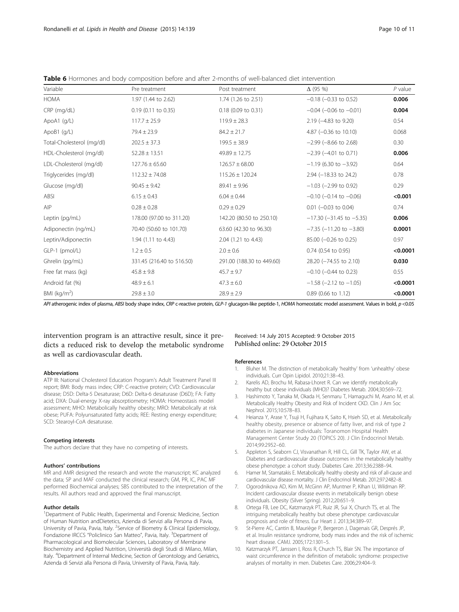<span id="page-9-0"></span>

| Table 6 Hormones and body composition before and after 2-months of well-balanced diet intervention |  |
|----------------------------------------------------------------------------------------------------|--|
|----------------------------------------------------------------------------------------------------|--|

| Variable                  | Pre treatment             | Post treatment            | $\Delta$ (95 %)                  | $P$ value |
|---------------------------|---------------------------|---------------------------|----------------------------------|-----------|
| <b>HOMA</b>               | 1.97 (1.44 to 2.62)       | 1.74 (1.26 to 2.51)       | $-0.18$ ( $-0.33$ to 0.52)       | 0.006     |
| CRP (mg/dL)               | $0.19$ (0.11 to 0.35)     | $0.18$ (0.09 to 0.31)     | $-0.04$ ( $-0.06$ to $-0.01$ )   | 0.004     |
| ApoA1 $(q/L)$             | $117.7 \pm 25.9$          | $119.9 \pm 28.3$          | 2.19 (-4.83 to 9.20)             | 0.54      |
| ApoB1 (g/L)               | $79.4 \pm 23.9$           | $84.2 \pm 21.7$           | 4.87 $(-0.36$ to 10.10)          | 0.068     |
| Total-Cholesterol (mg/dl) | $202.5 \pm 37.3$          | $199.5 \pm 38.9$          | $-2.99$ ( $-8.66$ to 2.68)       | 0.30      |
| HDL-Cholesterol (mg/dl)   | $52.28 \pm 13.51$         | $49.89 \pm 12.75$         | $-2.39$ ( $-4.01$ to 0.71)       | 0.006     |
| LDL-Cholesterol (mg/dl)   | $127.76 \pm 65.60$        | $126.57 \pm 68.00$        | $-1.19$ (6.30 to $-3.92$ )       | 0.64      |
| Triglycerides (mg/dl)     | $112.32 \pm 74.08$        | $115.26 \pm 120.24$       | 2.94 (-18.33 to 24.2)            | 0.78      |
| Glucose (mg/dl)           | $90.45 \pm 9.42$          | $89.41 \pm 9.96$          | $-1.03$ ( $-2.99$ to 0.92)       | 0.29      |
| ABSI                      | $6.15 \pm 0.43$           | $6.04 \pm 0.44$           | $-0.10$ ( $-0.14$ to $-0.06$ )   | < 0.001   |
| AIP                       | $0.28 \pm 0.28$           | $0.29 \pm 0.29$           | $0.01$ (-0.03 to 0.04)           | 0.74      |
| Leptin (pg/mL)            | 178.00 (97.00 to 311.20)  | 142.20 (80.50 to 250.10)  | $-17.30$ ( $-31.45$ to $-5.35$ ) | 0.006     |
| Adiponectin (ng/mL)       | 70.40 (50.60 to 101.70)   | 63.60 (42.30 to 96.30)    | $-7.35$ ( $-11.20$ to $-3.80$ )  | 0.0001    |
| Leptin/Adiponectin        | 1.94 (1.11 to 4.43)       | 2.04 (1.21 to 4.43)       | 85.00 (-0.26 to 0.25)            | 0.97      |
| GLP-1 (pmol/L)            | $1.2 \pm 0.5$             | $2.0 \pm 0.6$             | 0.74 (0.54 to 0.95)              | < 0.0001  |
| Ghrelin (pg/mL)           | 331.45 (216.40 to 516.50) | 291.00 (188.30 to 449.60) | 28.20 (-74.55 to 2.10)           | 0.030     |
| Free fat mass (kg)        | $45.8 \pm 9.8$            | $45.7 \pm 9.7$            | $-0.10$ ( $-0.44$ to 0.23)       | 0.55      |
| Android fat (%)           | $48.9 \pm 6.1$            | $47.3 \pm 6.0$            | $-1.58$ ( $-2.12$ to $-1.05$ )   | < 0.0001  |
| BMI ( $kg/m2$ )           | $29.8 \pm 3.0$            | $28.9 \pm 2.9$            | 0.89 (0.66 to 1.12)              | < 0.0001  |

API atherogenic index of plasma, ABSI body shape index, CRP c-reactive protein, GLP-1 glucagon-like peptide-1, HOMA homeostatic model assessment. Values in bold, p <0.05

intervention program is an attractive result, since it predicts a reduced risk to develop the metabolic syndrome as well as cardiovascular death.

#### Abbreviations

ATP III: National Cholesterol Education Program's Adult Treatment Panel III report; BMI: Body mass index; CRP: C-reactive protein; CVD: Cardiovascular disease; D5D: Delta-5 Desaturase; D6D: Delta-6 desaturase (D6D); FA: Fatty acid; DXA: Dual-energy X-ray absorptiometry; HOMA: Homeostasis model assessment; MHO: Metabolically healthy obesity; MRO: Metabolically at risk obese; PUFA: Polyunsaturated fatty acids; REE: Resting energy expenditure; SCD: Stearoyl-CoA desaturase.

#### Competing interests

The authors declare that they have no competing of interests.

#### Authors' contributions

MR and AMR designed the research and wrote the manuscript; KC analyzed the data; SP and MAF conducted the clinical research; GM, PR, IC, PAC MF performed Biochemical analyses; SBS contributed to the interpretation of the results. All authors read and approved the final manuscript.

#### Author details

<sup>1</sup>Department of Public Health, Experimental and Forensic Medicine, Section of Human Nutrition andDietetics, Azienda di Servizi alla Persona di Pavia, University of Pavia, Pavia, Italy. <sup>2</sup>Service of Biometry & Clinical Epidemiology, Fondazione IRCCS "Policlinico San Matteo", Pavia, Italy. <sup>3</sup>Department of Pharmacological and Biomolecular Sciences, Laboratory of Membrane Biochemistry and Applied Nutrition, Università degli Studi di Milano, Milan, Italy. <sup>4</sup>Department of Internal Medicine, Section of Gerontology and Geriatrics, Azienda di Servizi alla Persona di Pavia, University of Pavia, Pavia, Italy.

# Received: 14 July 2015 Accepted: 9 October 2015<br>Published online: 29 October 2015

#### References

- 1. Bluher M. The distinction of metabolically 'healthy' from 'unhealthy' obese individuals. Curr Opin Lipidol. 2010;21:38–43.
- 2. Karelis AD, Brochu M, Rabasa-Lhoret R, Can we identify metabolically healthy but obese individuals (MHO)? Diabetes Metab. 2004;30:569–72.
- 3. Hashimoto Y, Tanaka M, Okada H, Senmaru T, Hamaguchi M, Asano M, et al. Metabolically Healthy Obesity and Risk of Incident CKD. Clin J Am Soc Nephrol. 2015;10:578–83.
- 4. Heianza Y, Arase Y, Tsuji H, Fujihara K, Saito K, Hsieh SD, et al. Metabolically healthy obesity, presence or absence of fatty liver, and risk of type 2 diabetes in Japanese individuals: Toranomon Hospital Health Management Center Study 20 (TOPICS 20). J Clin Endocrinol Metab. 2014;99:2952–60.
- 5. Appleton S, Seaborn CJ, Visvanathan R, Hill CL, Gill TK, Taylor AW, et al. Diabetes and cardiovascular disease outcomes in the metabolically healthy obese phenotype: a cohort study. Diabetes Care. 2013;36:2388–94.
- 6. Hamer M, Stamatakis E. Metabolically healthy obesity and risk of all-cause and cardiovascular disease mortality. J Clin Endocrinol Metab. 2012;97:2482–8.
- 7. Ogorodnikova AD, Kim M, McGinn AP, Muntner P, KIhan U, Wildman RP. Incident cardiovascular disease events in metabolically benign obese individuals. Obesity (Silver Spring). 2012;20:651–9.
- 8. Ortega FB, Lee DC, Katzmarzyk PT, Ruiz JR, Sui X, Church TS, et al. The intriguing metabolically healthy but obese phenotype: cardiovascular prognosis and role of fitness. Eur Heart J. 2013;34:389–97.
- 9. St-Pierre AC, Cantin B, Mauriège P, Bergeron J, Dagenais GR, Després JP, et al. Insulin resistance syndrome, body mass index and the risk of ischemic heart disease. CAMJ. 2005;172:1301–5.
- 10. Katzmarzyk PT, Janssen I, Ross R, Church TS, Blair SN. The importance of waist circumference in the definition of metabolic syndrome: prospective analyses of mortality in men. Diabetes Care. 2006;29:404–9.